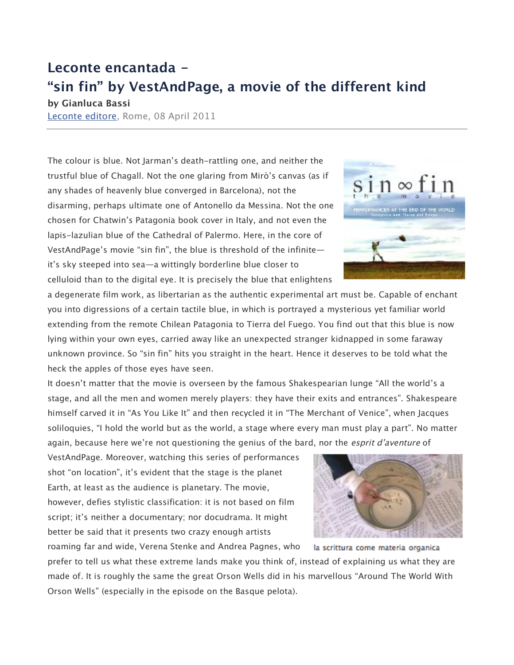## **Leconte encantada -**

## **"sin fin" by VestAndPage, a movie of the different kind**

**by Gianluca Bassi** Leconte editore, Rome, 08 April 2011

The colour is blue. Not Jarman's death-rattling one, and neither the trustful blue of Chagall. Not the one glaring from Mirò's canvas (as if any shades of heavenly blue converged in Barcelona), not the disarming, perhaps ultimate one of Antonello da Messina. Not the one chosen for Chatwin's Patagonia book cover in Italy, and not even the lapis-lazulian blue of the Cathedral of Palermo. Here, in the core of VestAndPage's movie "sin fin", the blue is threshold of the infinite it's sky steeped into sea—a wittingly borderline blue closer to celluloid than to the digital eye. It is precisely the blue that enlightens

a degenerate film work, as libertarian as the authentic experimental art must be. Capable of enchant you into digressions of a certain tactile blue, in which is portrayed a mysterious yet familiar world extending from the remote Chilean Patagonia to Tierra del Fuego. You find out that this blue is now lying within your own eyes, carried away like an unexpected stranger kidnapped in some faraway unknown province. So "sin fin" hits you straight in the heart. Hence it deserves to be told what the heck the apples of those eyes have seen.

It doesn't matter that the movie is overseen by the famous Shakespearian lunge "All the world's a stage, and all the men and women merely players: they have their exits and entrances". Shakespeare himself carved it in "As You Like It" and then recycled it in "The Merchant of Venice", when Jacques soliloquies, "I hold the world but as the world, a stage where every man must play a part". No matter again, because here we're not questioning the genius of the bard, nor the *esprit d'aventure* of

VestAndPage. Moreover, watching this series of performances shot "on location", it's evident that the stage is the planet Earth, at least as the audience is planetary. The movie, however, defies stylistic classification: it is not based on film script; it's neither a documentary; nor docudrama. It might better be said that it presents two crazy enough artists

roaming far and wide, Verena Stenke and Andrea Pagnes, who la scrittura come materia organica prefer to tell us what these extreme lands make you think of, instead of explaining us what they are made of. It is roughly the same the great Orson Wells did in his marvellous "Around The World With Orson Wells" (especially in the episode on the Basque pelota).



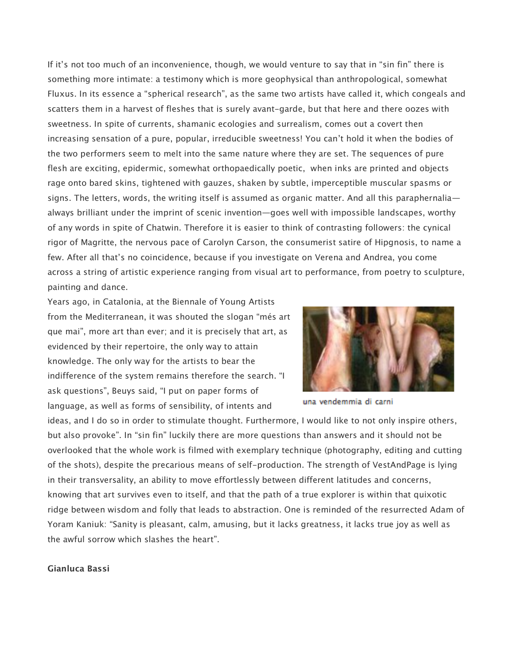If it's not too much of an inconvenience, though, we would venture to say that in "sin fin" there is something more intimate: a testimony which is more geophysical than anthropological, somewhat Fluxus. In its essence a "spherical research", as the same two artists have called it, which congeals and scatters them in a harvest of fleshes that is surely avant-garde, but that here and there oozes with sweetness. In spite of currents, shamanic ecologies and surrealism, comes out a covert then increasing sensation of a pure, popular, irreducible sweetness! You can't hold it when the bodies of the two performers seem to melt into the same nature where they are set. The sequences of pure flesh are exciting, epidermic, somewhat orthopaedically poetic, when inks are printed and objects rage onto bared skins, tightened with gauzes, shaken by subtle, imperceptible muscular spasms or signs. The letters, words, the writing itself is assumed as organic matter. And all this paraphernalia always brilliant under the imprint of scenic invention—goes well with impossible landscapes, worthy of any words in spite of Chatwin. Therefore it is easier to think of contrasting followers: the cynical rigor of Magritte, the nervous pace of Carolyn Carson, the consumerist satire of Hipgnosis, to name a few. After all that's no coincidence, because if you investigate on Verena and Andrea, you come across a string of artistic experience ranging from visual art to performance, from poetry to sculpture, painting and dance.

Years ago, in Catalonia, at the Biennale of Young Artists from the Mediterranean, it was shouted the slogan "més art que mai", more art than ever; and it is precisely that art, as evidenced by their repertoire, the only way to attain knowledge. The only way for the artists to bear the indifference of the system remains therefore the search. "I ask questions", Beuys said, "I put on paper forms of language, as well as forms of sensibility, of intents and



una vendemmia di carni

ideas, and I do so in order to stimulate thought. Furthermore, I would like to not only inspire others, but also provoke". In "sin fin" luckily there are more questions than answers and it should not be overlooked that the whole work is filmed with exemplary technique (photography, editing and cutting of the shots), despite the precarious means of self-production. The strength of VestAndPage is lying in their transversality, an ability to move effortlessly between different latitudes and concerns, knowing that art survives even to itself, and that the path of a true explorer is within that quixotic ridge between wisdom and folly that leads to abstraction. One is reminded of the resurrected Adam of Yoram Kaniuk: "Sanity is pleasant, calm, amusing, but it lacks greatness, it lacks true joy as well as the awful sorrow which slashes the heart".

## **Gianluca Bassi**